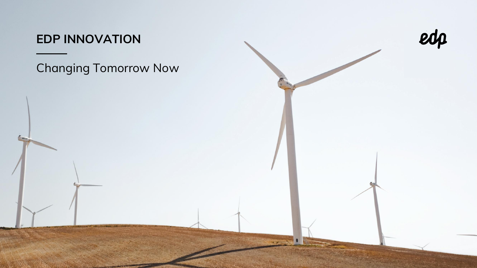## **EDP INNOVATION**

# Changing Tomorrow Now

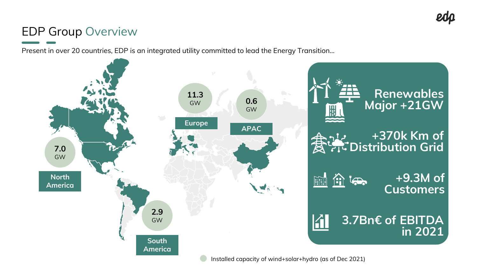## EDP Group Overview

Present in over 20 countries, EDP is an integrated utility committed to lead the Energy Transition…

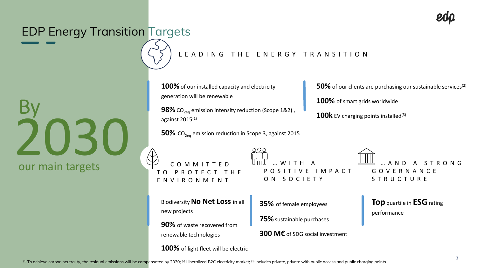

## EDP Energy Transition Targets

# 2030 **By** our main targets

### L E A D I N G T H E E N E R G Y T R A N S I T I O N

**100%**of our installed capacity and electricity generation will be renewable

**98%** CO<sub>2eq</sub> emission intensity reduction (Scope 1&2) against  $2015<sup>(1)</sup>$ 

**50%** CO<sub>2eq</sub> emission reduction in Scope 3, against 2015

C O M M I T T E D O PROTECT E N V I R O N M E N T

 $...$  W I T H O S I T I V E I M P A C T ON SOCIETY

Biodiversity **No Net Loss** in all new projects

**90%** of waste recovered from renewable technologies

**100%** of light fleet will be electric

**35%** of female employees

**75%**sustainable purchases

**300 M€** of SDG social investment

**50%** of our clients are purchasing our sustainable services<sup>(2)</sup>

**100%** of smart grids worldwide

100k EV charging points installed<sup>(3)</sup>

A N D G O V E R N A N C E S T R U C T U R E

**Top**quartile in **ESG**rating performance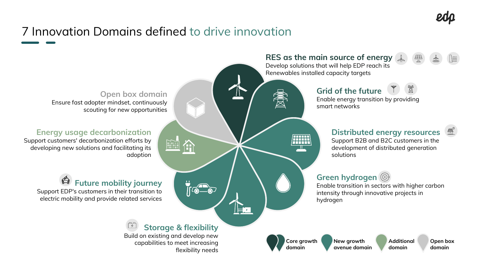# 7 Innovation Domains defined to drive innovation

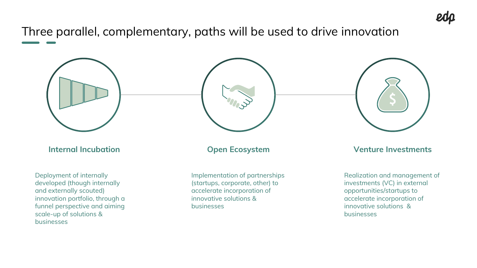Three parallel, complementary, paths will be used to drive innovation



**Internal Incubation**

Deployment of internally developed (though internally and externally scouted) innovation portfolio, through a funnel perspective and aiming scale-up of solutions & businesses



#### **Open Ecosystem**

Implementation of partnerships (startups, corporate, other) to accelerate incorporation of innovative solutions & businesses

**Venture Investments**

Realization and management of investments (VC) in external opportunities/startups to accelerate incorporation of innovative solutions & businesses